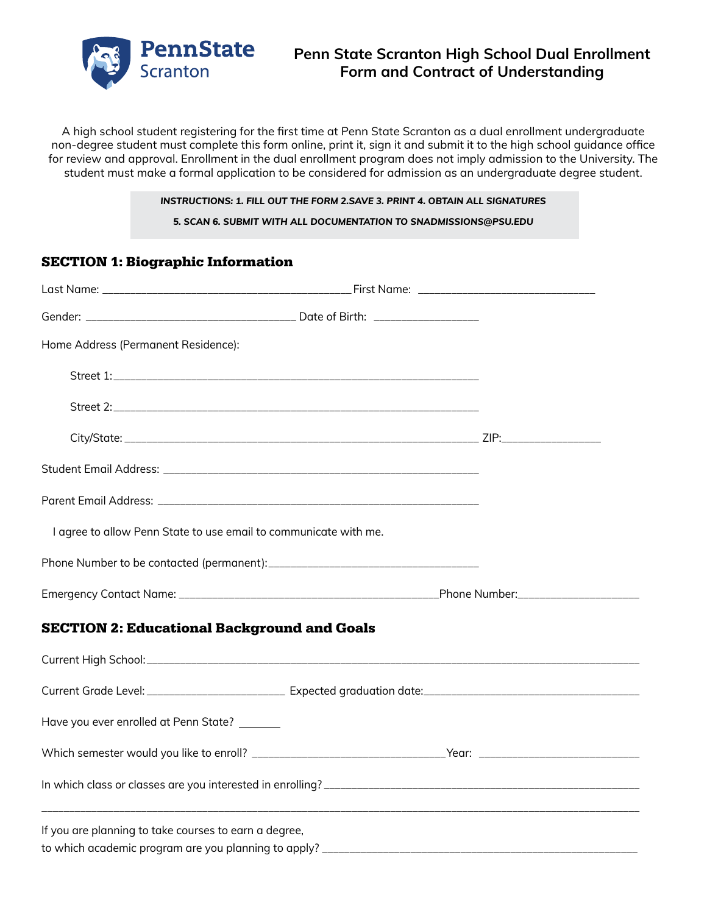

A high school student registering for the first time at Penn State Scranton as a dual enrollment undergraduate non-degree student must complete this form online, print it, sign it and submit it to the high school guidance office for review and approval. Enrollment in the dual enrollment program does not imply admission to the University. The student must make a formal application to be considered for admission as an undergraduate degree student.

#### *INSTRUCTIONS: 1. FILL OUT THE FORM 2.SAVE 3. PRINT 4. OBTAIN ALL SIGNATURES*

*5. SCAN 6. SUBMIT WITH ALL DOCUMENTATION TO SNADMISSIONS@PSU.EDU*

# SECTION 1: Biographic Information

| Home Address (Permanent Residence):                              |  |
|------------------------------------------------------------------|--|
|                                                                  |  |
|                                                                  |  |
|                                                                  |  |
|                                                                  |  |
|                                                                  |  |
| I agree to allow Penn State to use email to communicate with me. |  |
|                                                                  |  |
|                                                                  |  |
| <b>SECTION 2: Educational Background and Goals</b>               |  |
|                                                                  |  |
|                                                                  |  |
| Have you ever enrolled at Penn State? _______                    |  |
|                                                                  |  |
|                                                                  |  |
| If you are planning to take courses to earn a degree,            |  |
|                                                                  |  |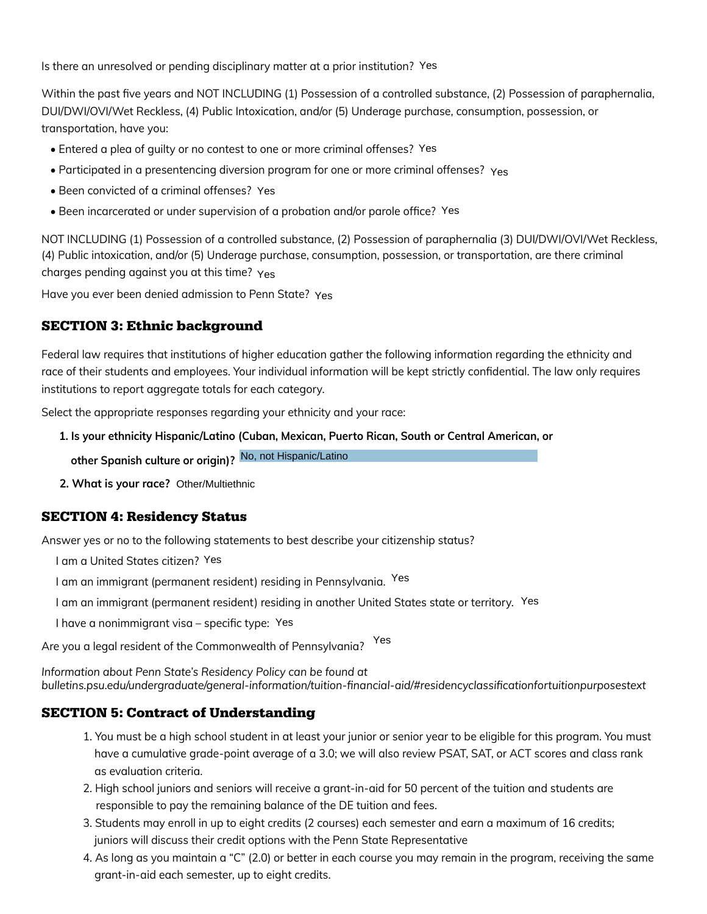Is there an unresolved or pending disciplinary matter at a prior institution? Yes

Within the past five years and NOT INCLUDING (1) Possession of a controlled substance, (2) Possession of paraphernalia, DUI/DWI/OVI/Wet Reckless, (4) Public Intoxication, and/or (5) Underage purchase, consumption, possession, or transportation, have you:

- Entered a plea of quilty or no contest to one or more criminal offenses? Yes
- Participated in a presentencing diversion program for one or more criminal offenses? Yes
- Been convicted of a criminal offenses? Yes
- Been incarcerated or under supervision of a probation and/or parole office? Yes

NOT INCLUDING (1) Possession of a controlled substance, (2) Possession of paraphernalia (3) DUI/DWI/OVI/Wet Reckless, (4) Public intoxication, and/or (5) Underage purchase, consumption, possession, or transportation, are there criminal charges pending against you at this time? Yes ending disciplinary matter at a prior institution? Yes<br>and NOT INCLUDING (1) Possession of a controlled substance, (2) Posse<br>s, (4) Public Intoxication, and/or (5) Underage purchase, consumption, po<br>or no contest to one or

Have you ever been denied admission to Penn State? Yes

# SECTION 3: Ethnic background

Federal law requires that institutions of higher education gather the following information regarding the ethnicity and race of their students and employees. Your individual information will be kept strictly confidential. The law only requires institutions to report aggregate totals for each category.

Select the appropriate responses regarding your ethnicity and your race:

**1. Is your ethnicity Hispanic/Latino (Cuban, Mexican, Puerto Rican, South or Central American, or**

**other Spanish culture or origin)?**

**2. What is your race?**

# SECTION 4: Residency Status

Answer yes or no to the following statements to best describe your citizenship status?

- I am a United States citizen?
- I am an immigrant (permanent resident) residing in Pennsylvania. Yes
- I am an immigrant (permanent resident) residing in another United States state or territory. Yes
- I have a nonimmigrant visa specific type: Yes

Are you a legal resident of the Commonwealth of Pennsylvania? Yes

*Information about Penn State's Residency Policy can be found at bulletins.psu.edu/undergraduate/general-information/tuition-financial-aid/#residencyclassificationfortuitionpurposestext* 

## SECTION 5: Contract of Understanding

- 1. You must be a high school student in at least your junior or senior year to be eligible for this program. You must have a cumulative grade-point average of a 3.0; we will also review PSAT, SAT, or ACT scores and class rank as evaluation criteria.
- 2. High school juniors and seniors will receive a grant-in-aid for 50 percent of the tuition and students are responsible to pay the remaining balance of the DE tuition and fees.
- 3. Students may enroll in up to eight credits (2 courses) each semester and earn a maximum of 16 credits; juniors will discuss their credit options with the Penn State Representative
- 4. As long as you maintain a "C" (2.0) or better in each course you may remain in the program, receiving the same grant-in-aid each semester, up to eight credits.